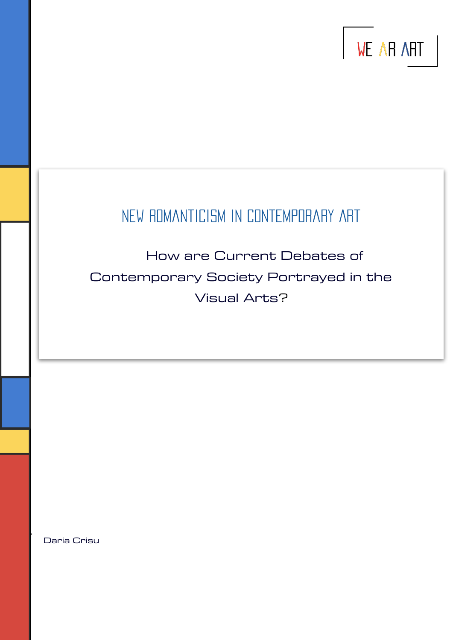

# NEW ROMANTICISM IN CONTEMPORARY ART

 How are Current Debates of Contemporary Society Portrayed in the Visual Arts?

Daria Crisu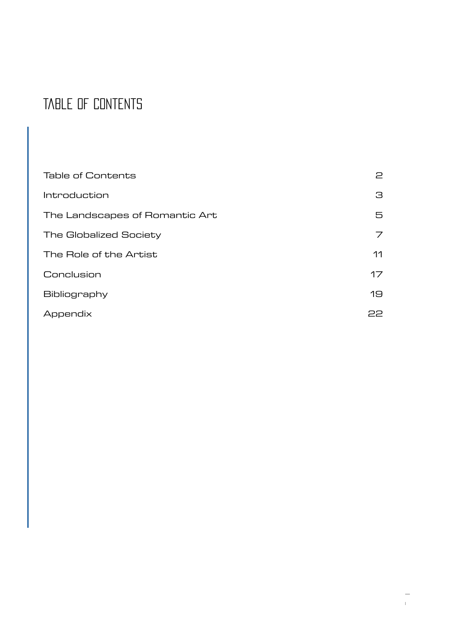# <span id="page-1-0"></span>Table of Contents

| <b>Table of Contents</b>       | 2  |
|--------------------------------|----|
| Introduction                   | 3  |
| The Landscapes of Romantic Art | 5  |
| <b>The Globalized Society</b>  | 7  |
| The Role of the Artist         | 11 |
| Conclusion                     | 17 |
| Bibliography                   | 19 |
| Appendix                       | 22 |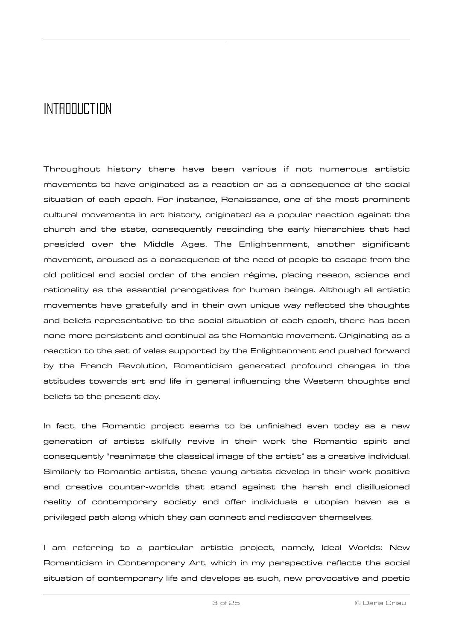### <span id="page-2-0"></span>INTRODUCTION

Throughout history there have been various if not numerous artistic movements to have originated as a reaction or as a consequence of the social situation of each epoch. For instance, Renaissance, one of the most prominent cultural movements in art history, originated as a popular reaction against the church and the state, consequently rescinding the early hierarchies that had presided over the Middle Ages. The Enlightenment, another significant movement, aroused as a consequence of the need of people to escape from the old political and social order of the ancien régime, placing reason, science and rationality as the essential prerogatives for human beings. Although all artistic movements have gratefully and in their own unique way reflected the thoughts and beliefs representative to the social situation of each epoch, there has been none more persistent and continual as the Romantic movement. Originating as a reaction to the set of vales supported by the Enlightenment and pushed forward by the French Revolution, Romanticism generated profound changes in the attitudes towards art and life in general influencing the Western thoughts and beliefs to the present day.

In fact, the Romantic project seems to be unfinished even today as a new generation of artists skilfully revive in their work the Romantic spirit and consequently "reanimate the classical image of the artist" as a creative individual. Similarly to Romantic artists, these young artists develop in their work positive and creative counter-worlds that stand against the harsh and disillusioned reality of contemporary society and offer individuals a utopian haven as a privileged path along which they can connect and rediscover themselves.

I am referring to a particular artistic project, namely, Ideal Worlds: New Romanticism in Contemporary Art, which in my perspective reflects the social situation of contemporary life and develops as such, new provocative and poetic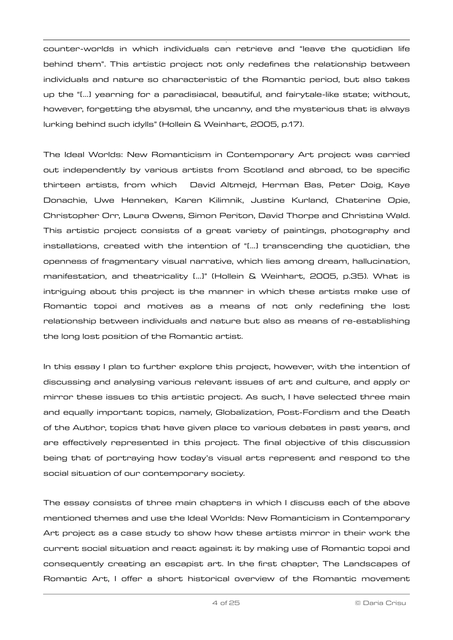counter-worlds in which individuals can retrieve and "leave the quotidian life behind them". This artistic project not only redefines the relationship between individuals and nature so characteristic of the Romantic period, but also takes up the "[…] yearning for a paradisiacal, beautiful, and fairytale-like state; without, however, forgetting the abysmal, the uncanny, and the mysterious that is always lurking behind such idylls" (Hollein & Weinhart, 2005, p.17).

The Ideal Worlds: New Romanticism in Contemporary Art project was carried out independently by various artists from Scotland and abroad, to be specific thirteen artists, from which David Altmejd, Herman Bas, Peter Doig, Kaye Donachie, Uwe Henneken, Karen Kilimnik, Justine Kurland, Chaterine Opie, Christopher Orr, Laura Owens, Simon Periton, David Thorpe and Christina Wald. This artistic project consists of a great variety of paintings, photography and installations, created with the intention of "[…] transcending the quotidian, the openness of fragmentary visual narrative, which lies among dream, hallucination, manifestation, and theatricality […]" (Hollein & Weinhart, 2005, p.35). What is intriguing about this project is the manner in which these artists make use of Romantic topoi and motives as a means of not only redefining the lost relationship between individuals and nature but also as means of re-establishing the long lost position of the Romantic artist.

In this essay I plan to further explore this project, however, with the intention of discussing and analysing various relevant issues of art and culture, and apply or mirror these issues to this artistic project. As such, I have selected three main and equally important topics, namely, Globalization, Post-Fordism and the Death of the Author, topics that have given place to various debates in past years, and are effectively represented in this project. The final objective of this discussion being that of portraying how today's visual arts represent and respond to the social situation of our contemporary society.

The essay consists of three main chapters in which I discuss each of the above mentioned themes and use the Ideal Worlds: New Romanticism in Contemporary Art project as a case study to show how these artists mirror in their work the current social situation and react against it by making use of Romantic topoi and consequently creating an escapist art. In the first chapter, The Landscapes of Romantic Art, I offer a short historical overview of the Romantic movement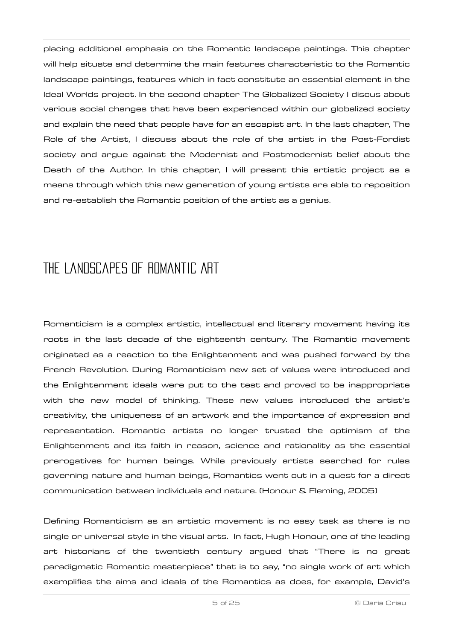placing additional emphasis on the Romantic landscape paintings. This chapter will help situate and determine the main features characteristic to the Romantic landscape paintings, features which in fact constitute an essential element in the Ideal Worlds project. In the second chapter The Globalized Society I discus about various social changes that have been experienced within our globalized society and explain the need that people have for an escapist art. In the last chapter, The Role of the Artist, I discuss about the role of the artist in the Post-Fordist society and argue against the Modernist and Postmodernist belief about the Death of the Author. In this chapter, I will present this artistic project as a means through which this new generation of young artists are able to reposition and re-establish the Romantic position of the artist as a genius.

## <span id="page-4-0"></span>The Landscapes of Romantic Art

Romanticism is a complex artistic, intellectual and literary movement having its roots in the last decade of the eighteenth century. The Romantic movement originated as a reaction to the Enlightenment and was pushed forward by the French Revolution. During Romanticism new set of values were introduced and the Enlightenment ideals were put to the test and proved to be inappropriate with the new model of thinking. These new values introduced the artist's creativity, the uniqueness of an artwork and the importance of expression and representation. Romantic artists no longer trusted the optimism of the Enlightenment and its faith in reason, science and rationality as the essential prerogatives for human beings. While previously artists searched for rules governing nature and human beings, Romantics went out in a quest for a direct communication between individuals and nature. (Honour & Fleming, 2005)

Defining Romanticism as an artistic movement is no easy task as there is no single or universal style in the visual arts. In fact, Hugh Honour, one of the leading art historians of the twentieth century argued that "There is no great paradigmatic Romantic masterpiece" that is to say, "no single work of art which exemplifies the aims and ideals of the Romantics as does, for example, David's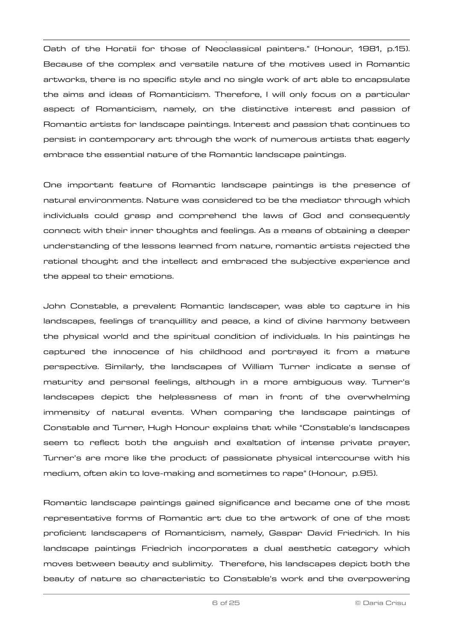Oath of the Horatii for those of Neoclassical painters." (Honour, 1981, p.15). Because of the complex and versatile nature of the motives used in Romantic artworks, there is no specific style and no single work of art able to encapsulate the aims and ideas of Romanticism. Therefore, I will only focus on a particular aspect of Romanticism, namely, on the distinctive interest and passion of Romantic artists for landscape paintings. Interest and passion that continues to persist in contemporary art through the work of numerous artists that eagerly embrace the essential nature of the Romantic landscape paintings.

One important feature of Romantic landscape paintings is the presence of natural environments. Nature was considered to be the mediator through which individuals could grasp and comprehend the laws of God and consequently connect with their inner thoughts and feelings. As a means of obtaining a deeper understanding of the lessons learned from nature, romantic artists rejected the rational thought and the intellect and embraced the subjective experience and the appeal to their emotions.

John Constable, a prevalent Romantic landscaper, was able to capture in his landscapes, feelings of tranquillity and peace, a kind of divine harmony between the physical world and the spiritual condition of individuals. In his paintings he captured the innocence of his childhood and portrayed it from a mature perspective. Similarly, the landscapes of William Turner indicate a sense of maturity and personal feelings, although in a more ambiguous way. Turner's landscapes depict the helplessness of man in front of the overwhelming immensity of natural events. When comparing the landscape paintings of Constable and Turner, Hugh Honour explains that while "Constable's landscapes seem to reflect both the anguish and exaltation of intense private prayer, Turner's are more like the product of passionate physical intercourse with his medium, often akin to love-making and sometimes to rape" (Honour, p.95).

Romantic landscape paintings gained significance and became one of the most representative forms of Romantic art due to the artwork of one of the most proficient landscapers of Romanticism, namely, Gaspar David Friedrich. In his landscape paintings Friedrich incorporates a dual aesthetic category which moves between beauty and sublimity. Therefore, his landscapes depict both the beauty of nature so characteristic to Constable's work and the overpowering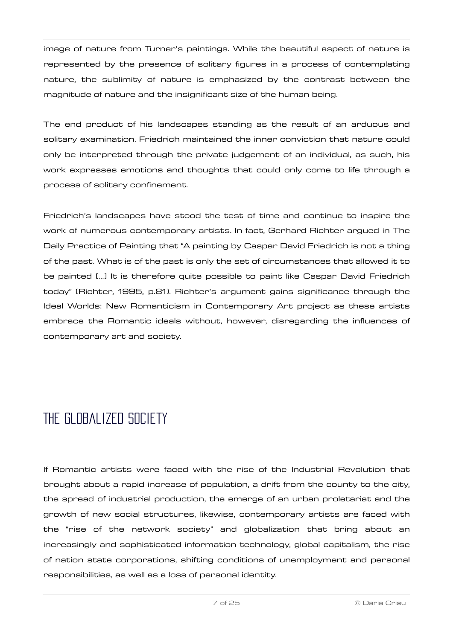image of nature from Turner's paintings. While the beautiful aspect of nature is represented by the presence of solitary figures in a process of contemplating nature, the sublimity of nature is emphasized by the contrast between the magnitude of nature and the insignificant size of the human being.

The end product of his landscapes standing as the result of an arduous and solitary examination. Friedrich maintained the inner conviction that nature could only be interpreted through the private judgement of an individual, as such, his work expresses emotions and thoughts that could only come to life through a process of solitary confinement.

Friedrich's landscapes have stood the test of time and continue to inspire the work of numerous contemporary artists. In fact, Gerhard Richter argued in The Daily Practice of Painting that "A painting by Caspar David Friedrich is not a thing of the past. What is of the past is only the set of circumstances that allowed it to be painted [...] It is therefore quite possible to paint like Caspar David Friedrich today" (Richter, 1995, p.81). Richter's argument gains significance through the Ideal Worlds: New Romanticism in Contemporary Art project as these artists embrace the Romantic ideals without, however, disregarding the influences of contemporary art and society.

## <span id="page-6-0"></span>THE GLOBALIZED SOCIETY

If Romantic artists were faced with the rise of the Industrial Revolution that brought about a rapid increase of population, a drift from the county to the city, the spread of industrial production, the emerge of an urban proletariat and the growth of new social structures, likewise, contemporary artists are faced with the "rise of the network society" and globalization that bring about an increasingly and sophisticated information technology, global capitalism, the rise of nation state corporations, shifting conditions of unemployment and personal responsibilities, as well as a loss of personal identity.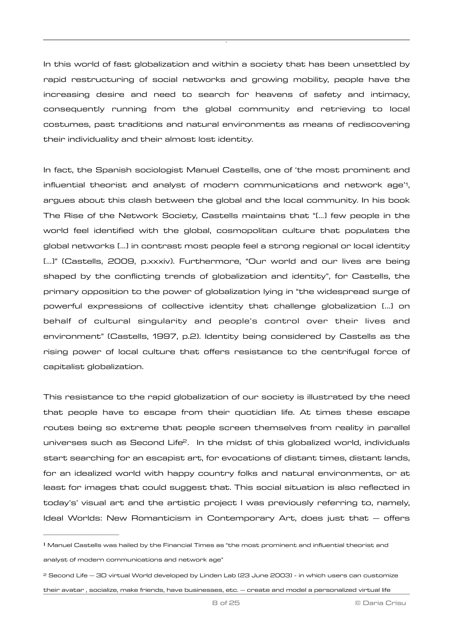In this world of fast globalization and within a society that has been unsettled by rapid restructuring of social networks and growing mobility, people have the increasing desire and need to search for heavens of safety and intimacy, consequently running from the global community and retrieving to local costumes, past traditions and natural environments as means of rediscovering their individuality and their almost lost identity.

<span id="page-7-2"></span>In fact, the Spanish sociologist Manuel Castells, one of 'the most prominent and influential theorist and analyst of modern communications and network age'', argues about this clash between the global and the local community. In his book The Rise of the Network Society, Castells maintains that "[…] few people in the world feel identified with the global, cosmopolitan culture that populates the global networks […] in contrast most people feel a strong regional or local identity […]" (Castells, 2009, p.xxxiv). Furthermore, "Our world and our lives are being shaped by the conflicting trends of globalization and identity", for Castells, the primary opposition to the power of globalization lying in "the widespread surge of powerful expressions of collective identity that challenge globalization [...] on behalf of cultural singularity and people's control over their lives and environment" (Castells, 1997, p.2). Identity being considered by Castells as the rising power of local culture that offers resistance to the centrifugal force of capitalist globalization.

<span id="page-7-3"></span>This resistance to the rapid globalization of our society is illustrated by the need that people have to escape from their quotidian life. At times these escape routes being so extreme that people screen themselves from reality in parallel universes such as Second Life<sup>[2](#page-7-1)</sup>. In the midst of this globalized world, individuals start searching for an escapist art, for evocations of distant times, distant lands, for an idealized world with happy country folks and natural environments, or at least for images that could suggest that. This social situation is also reflected in today's' visual art and the artistic project I was previously referring to, namely, Ideal Worlds: New Romanticism in Contemporary Art, does just that – offers

<span id="page-7-0"></span>Manuel Castells was hailed by the Financial Times as "the most prominent and influential theorist and **[1](#page-7-2)** analyst of modern communications and network age"

<span id="page-7-1"></span>[<sup>2</sup>](#page-7-3) Second Life – 3D virtual World developed by Linden Lab (23 June 2003) - in which users can customize their avatar , socialize, make friends, have businesses, etc. – create and model a personalized virtual life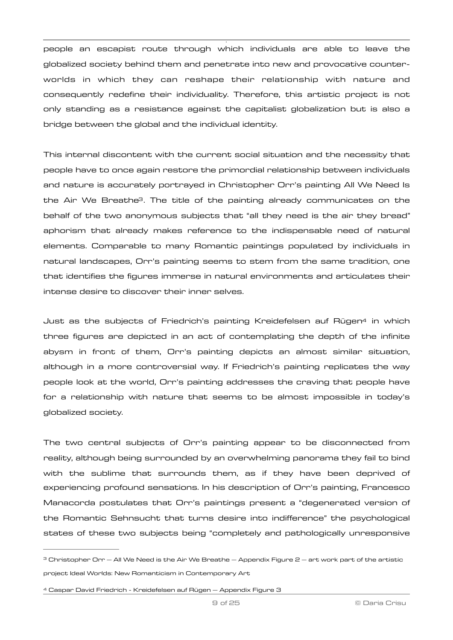people an escapist route through which individuals are able to leave the globalized society behind them and penetrate into new and provocative counterworlds in which they can reshape their relationship with nature and consequently redefine their individuality. Therefore, this artistic project is not only standing as a resistance against the capitalist globalization but is also a bridge between the global and the individual identity.

<span id="page-8-2"></span>This internal discontent with the current social situation and the necessity that people have to once again restore the primordial relationship between individuals and nature is accurately portrayed in Christopher Orr's painting All We Need Is the Air We Breath[e3](#page-8-0). The title of the painting already communicates on the behalf of the two anonymous subjects that "all they need is the air they bread" aphorism that already makes reference to the indispensable need of natural elements. Comparable to many Romantic paintings populated by individuals in natural landscapes, Orr's painting seems to stem from the same tradition, one that identifies the figures immerse in natural environments and articulates their intense desire to discover their inner selves.

<span id="page-8-3"></span>Just as the subjects of Friedrich's painting Kreidefelsen auf Rüge[n4](#page-8-1) in which three figures are depicted in an act of contemplating the depth of the infinite abysm in front of them, Orr's painting depicts an almost similar situation, although in a more controversial way. If Friedrich's painting replicates the way people look at the world, Orr's painting addresses the craving that people have for a relationship with nature that seems to be almost impossible in today's globalized society.

The two central subjects of Orr's painting appear to be disconnected from reality, although being surrounded by an overwhelming panorama they fail to bind with the sublime that surrounds them, as if they have been deprived of experiencing profound sensations. In his description of Orr's painting, Francesco Manacorda postulates that Orr's paintings present a "degenerated version of the Romantic Sehnsucht that turns desire into indifference" the psychological states of these two subjects being "completely and pathologically unresponsive

<span id="page-8-0"></span> $3$  Christopher Orr  $-$  All We Need is the Air We Breathe  $-$  Appendix Figure 2  $-$  art work part of the artistic project Ideal Worlds: New Romanticism in Contemporary Art

<span id="page-8-1"></span>[<sup>4</sup>](#page-8-3) Caspar David Friedrich - Kreidefelsen auf Rügen – Appendix Figure 3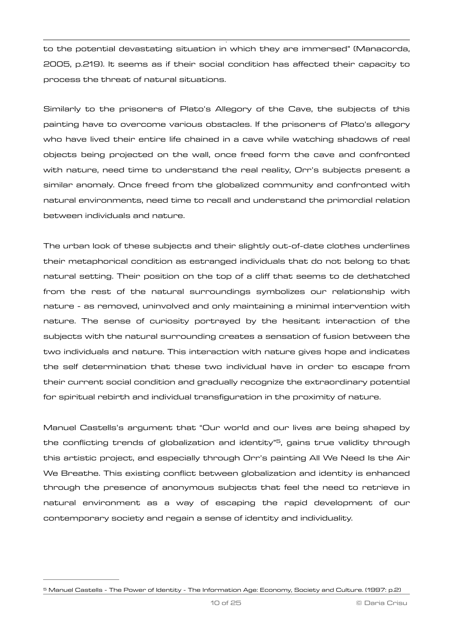to the potential devastating situation in which they are immersed" (Manacorda, 2005, p.219). It seems as if their social condition has affected their capacity to process the threat of natural situations.

Similarly to the prisoners of Plato's Allegory of the Cave, the subjects of this painting have to overcome various obstacles. If the prisoners of Plato's allegory who have lived their entire life chained in a cave while watching shadows of real objects being projected on the wall, once freed form the cave and confronted with nature, need time to understand the real reality, Orr's subjects present a similar anomaly. Once freed from the globalized community and confronted with natural environments, need time to recall and understand the primordial relation between individuals and nature.

The urban look of these subjects and their slightly out-of-date clothes underlines their metaphorical condition as estranged individuals that do not belong to that natural setting. Their position on the top of a cliff that seems to de dethatched from the rest of the natural surroundings symbolizes our relationship with nature - as removed, uninvolved and only maintaining a minimal intervention with nature. The sense of curiosity portrayed by the hesitant interaction of the subjects with the natural surrounding creates a sensation of fusion between the two individuals and nature. This interaction with nature gives hope and indicates the self determination that these two individual have in order to escape from their current social condition and gradually recognize the extraordinary potential for spiritual rebirth and individual transfiguration in the proximity of nature.

<span id="page-9-1"></span>Manuel Castells's argument that "Our world and our lives are being shaped by the conflicting trends of globalization and identity" $\overline{5}$  $\overline{5}$  $\overline{5}$ [,](#page-9-0) gains true validity through this artistic project, and especially through Orr's painting All We Need Is the Air We Breathe. This existing conflict between globalization and identity is enhanced through the presence of anonymous subjects that feel the need to retrieve in natural environment as a way of escaping the rapid development of our contemporary society and regain a sense of identity and individuality.

<span id="page-9-0"></span>[<sup>5</sup>](#page-9-1) Manuel Castells - The Power of Identity - The Information Age: Economy, Society and Culture. (1997: p.2)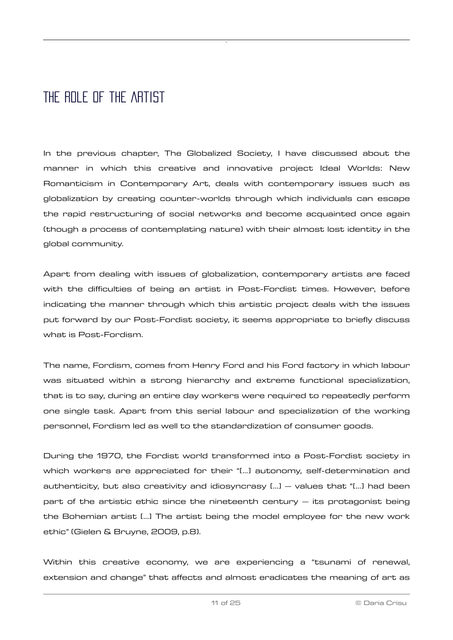### <span id="page-10-0"></span>THE ROLE OF THE ARTIST

In the previous chapter, The Globalized Society, I have discussed about the manner in which this creative and innovative project Ideal Worlds: New Romanticism in Contemporary Art, deals with contemporary issues such as globalization by creating counter-worlds through which individuals can escape the rapid restructuring of social networks and become acquainted once again (though a process of contemplating nature) with their almost lost identity in the global community.

Apart from dealing with issues of globalization, contemporary artists are faced with the difficulties of being an artist in Post-Fordist times. However, before indicating the manner through which this artistic project deals with the issues put forward by our Post-Fordist society, it seems appropriate to briefly discuss what is Post-Fordism.

The name, Fordism, comes from Henry Ford and his Ford factory in which labour was situated within a strong hierarchy and extreme functional specialization, that is to say, during an entire day workers were required to repeatedly perform one single task. Apart from this serial labour and specialization of the working personnel, Fordism led as well to the standardization of consumer goods.

During the 1970, the Fordist world transformed into a Post-Fordist society in which workers are appreciated for their "[…] autonomy, self-determination and authenticity, but also creativity and idiosyncrasy […] – values that "[…] had been part of the artistic ethic since the nineteenth century – its protagonist being the Bohemian artist […] The artist being the model employee for the new work ethic" (Gielen & Bruyne, 2009, p.8).

Within this creative economy, we are experiencing a "tsunami of renewal, extension and change" that affects and almost eradicates the meaning of art as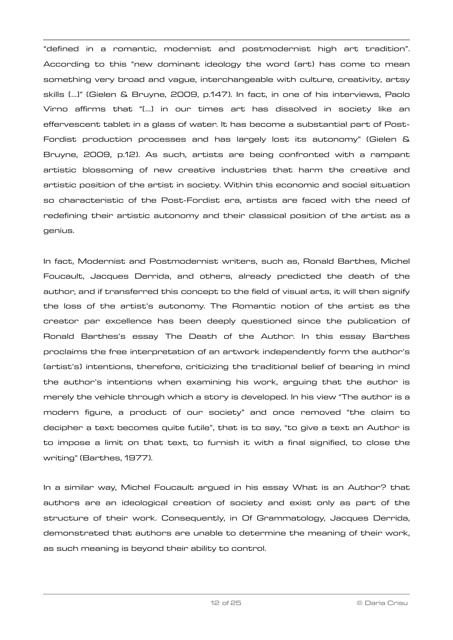"defined in a romantic, modernist and postmodernist high art tradition". According to this "new dominant ideology the word (art) has come to mean something very broad and vague, interchangeable with culture, creativity, artsy skills […]" (Gielen & Bruyne, 2009, p.147). In fact, in one of his interviews, Paolo Virno affirms that "[…] in our times art has dissolved in society like an effervescent tablet in a glass of water. It has become a substantial part of Post-Fordist production processes and has largely lost its autonomy" (Gielen & Bruyne, 2009, p.12). As such, artists are being confronted with a rampant artistic blossoming of new creative industries that harm the creative and artistic position of the artist in society. Within this economic and social situation so characteristic of the Post-Fordist era, artists are faced with the need of redefining their artistic autonomy and their classical position of the artist as a genius.

In fact, Modernist and Postmodernist writers, such as, Ronald Barthes, Michel Foucault, Jacques Derrida, and others, already predicted the death of the author, and if transferred this concept to the field of visual arts, it will then signify the loss of the artist's autonomy. The Romantic notion of the artist as the creator par excellence has been deeply questioned since the publication of Ronald Barthes's essay The Death of the Author. In this essay Barthes proclaims the free interpretation of an artwork independently form the author's (artist's) intentions, therefore, criticizing the traditional belief of bearing in mind the author's intentions when examining his work, arguing that the author is merely the vehicle through which a story is developed. In his view "The author is a modern figure, a product of our society" and once removed "the claim to decipher a text becomes quite futile", that is to say, "to give a text an Author is to impose a limit on that text, to furnish it with a final signified, to close the writing" (Barthes, 1977).

In a similar way, Michel Foucault argued in his essay What is an Author? that authors are an ideological creation of society and exist only as part of the structure of their work. Consequently, in Of Grammatology, Jacques Derrida, demonstrated that authors are unable to determine the meaning of their work, as such meaning is beyond their ability to control.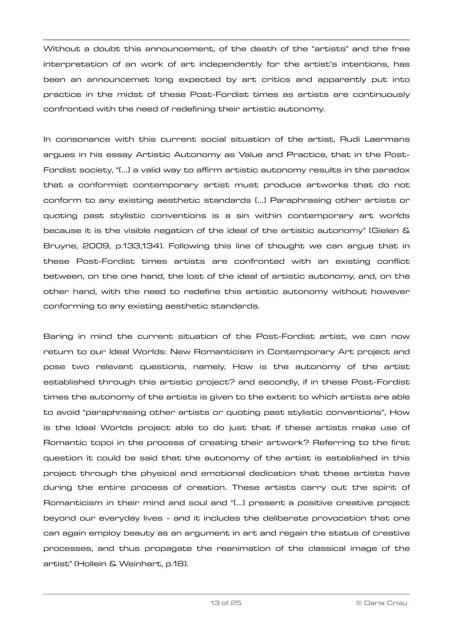Without a doubt this announcement, of the death of the "artists" and the free interpretation of an work of art independently for the artist's intentions, has been an announcemet long expected by art critics and apparently put into practice in the midst of these Post-Fordist times as artists are continuously confronted with the need of redefining their artistic autonomy.

In consonance with this current social situation of the artist, Rudi Laermans argues in his essay Artistic Autonomy as Value and Practice, that in the Post-Fordist society, "[…] a valid way to affirm artistic autonomy results in the paradox that a conformist contemporary artist must produce artworks that do not conform to any existing aesthetic standards […] Paraphrasing other artists or quoting past stylistic conventions is a sin within contemporary art worlds because it is the visible negation of the ideal of the artistic autonomy" (Gielen & Bruyne, 2009, p.133,134). Following this line of thought we can argue that in these Post-Fordist times artists are confronted with an existing conflict between, on the one hand, the lost of the ideal of artistic autonomy, and, on the other hand, with the need to redefine this artistic autonomy without however conforming to any existing aesthetic standards.

Baring in mind the current situation of the Post-Fordist artist, we can now return to our Ideal Worlds: New Romanticism in Contemporary Art project and pose two relevant questions, namely, How is the autonomy of the artist established through this artistic project? and secondly, if in these Post-Fordist times the autonomy of the artists is given to the extent to which artists are able to avoid "paraphrasing other artists or quoting past stylistic conventions", How is the Ideal Worlds project able to do just that if these artists make use of Romantic topoi in the process of creating their artwork? Referring to the first question it could be said that the autonomy of the artist is established in this project through the physical and emotional dedication that these artists have during the entire process of creation. These artists carry out the spirit of Romanticism in their mind and soul and "[…] present a positive creative project beyond our everyday lives - and it includes the deliberate provocation that one can again employ beauty as an argument in art and regain the status of creative processes, and thus propagate the reanimation of the classical image of the artist" (Hollein & Weinhart, p.18).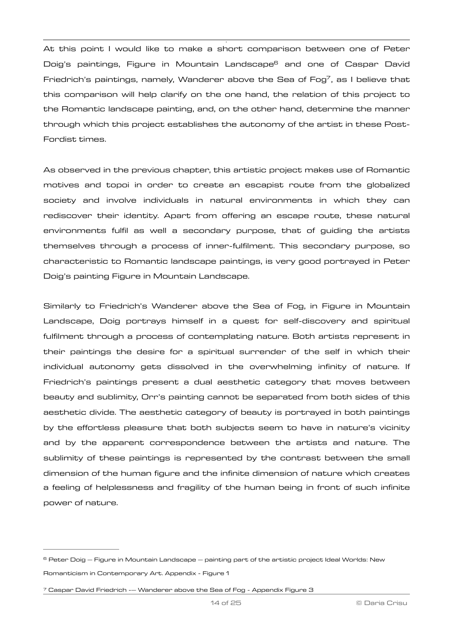<span id="page-13-3"></span><span id="page-13-2"></span>At this point I would like to make a short comparison between one of Peter Doig's paintings, Figur[e](#page-13-0) in Mountain Landscape<sup>[6](#page-13-0)</sup> and one of Caspar David Friedrich's paintings, namely, Wanderer above the Sea of Fog<sup>[7](#page-13-1)</sup>, as I believe that this comparison will help clarify on the one hand, the relation of this project to the Romantic landscape painting, and, on the other hand, determine the manner through which this project establishes the autonomy of the artist in these Post-Fordist times.

As observed in the previous chapter, this artistic project makes use of Romantic motives and topoi in order to create an escapist route from the globalized society and involve individuals in natural environments in which they can rediscover their identity. Apart from offering an escape route, these natural environments fulfil as well a secondary purpose, that of guiding the artists themselves through a process of inner-fulfilment. This secondary purpose, so characteristic to Romantic landscape paintings, is very good portrayed in Peter Doig's painting Figure in Mountain Landscape.

Similarly to Friedrich's Wanderer above the Sea of Fog, in Figure in Mountain Landscape, Doig portrays himself in a quest for self-discovery and spiritual fulfilment through a process of contemplating nature. Both artists represent in their paintings the desire for a spiritual surrender of the self in which their individual autonomy gets dissolved in the overwhelming infinity of nature. If Friedrich's paintings present a dual aesthetic category that moves between beauty and sublimity, Orr's painting cannot be separated from both sides of this aesthetic divide. The aesthetic category of beauty is portrayed in both paintings by the effortless pleasure that both subjects seem to have in nature's vicinity and by the apparent correspondence between the artists and nature. The sublimity of these paintings is represented by the contrast between the small dimension of the human figure and the infinite dimension of nature which creates a feeling of helplessness and fragility of the human being in front of such infinite power of nature.

<span id="page-13-0"></span> $6$  Peter Doig  $-$  Figure in Mountain Landscape  $-$  painting part of the artistic project Ideal Worlds: New Romanticism in Contemporary Art. Appendix - Figure 1

<span id="page-13-1"></span> $7$  Caspar David Friedrich -- Wanderer above the Sea of Fog - Appendix Figure 3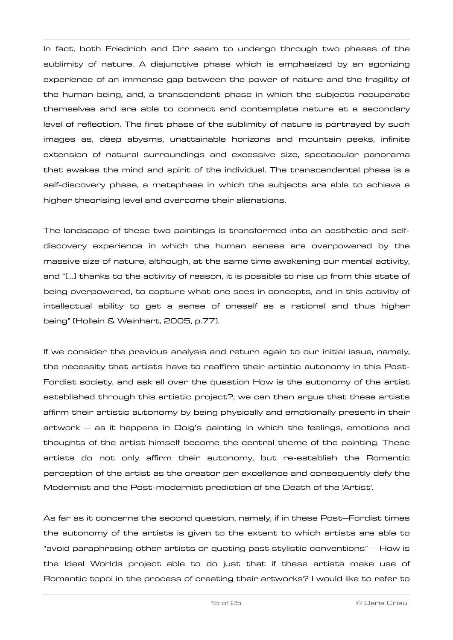In fact, both Friedrich and Orr seem to undergo through two phases of the sublimity of nature. A disjunctive phase which is emphasized by an agonizing experience of an immense gap between the power of nature and the fragility of the human being, and, a transcendent phase in which the subjects recuperate themselves and are able to connect and contemplate nature at a secondary level of reflection. The first phase of the sublimity of nature is portrayed by such images as, deep abysms, unattainable horizons and mountain peeks, infinite extension of natural surroundings and excessive size, spectacular panorama that awakes the mind and spirit of the individual. The transcendental phase is a self-discovery phase, a metaphase in which the subjects are able to achieve a higher theorising level and overcome their alienations.

The landscape of these two paintings is transformed into an aesthetic and selfdiscovery experience in which the human senses are overpowered by the massive size of nature, although, at the same time awakening our mental activity, and "[…] thanks to the activity of reason, it is possible to rise up from this state of being overpowered, to capture what one sees in concepts, and in this activity of intellectual ability to get a sense of oneself as a rational and thus higher being" (Hollein & Weinhart, 2005, p.77).

If we consider the previous analysis and return again to our initial issue, namely, the necessity that artists have to reaffirm their artistic autonomy in this Post-Fordist society, and ask all over the question How is the autonomy of the artist established through this artistic project?, we can then argue that these artists affirm their artistic autonomy by being physically and emotionally present in their artwork – as it happens in Doig's painting in which the feelings, emotions and thoughts of the artist himself become the central theme of the painting. These artists do not only affirm their autonomy, but re-establish the Romantic perception of the artist as the creator per excellence and consequently defy the Modernist and the Post-modernist prediction of the Death of the 'Artist'.

As far as it concerns the second question, namely, if in these Post–Fordist times the autonomy of the artists is given to the extent to which artists are able to "avoid paraphrasing other artists or quoting past stylistic conventions" – How is the Ideal Worlds project able to do just that if these artists make use of Romantic topoi in the process of creating their artworks? I would like to refer to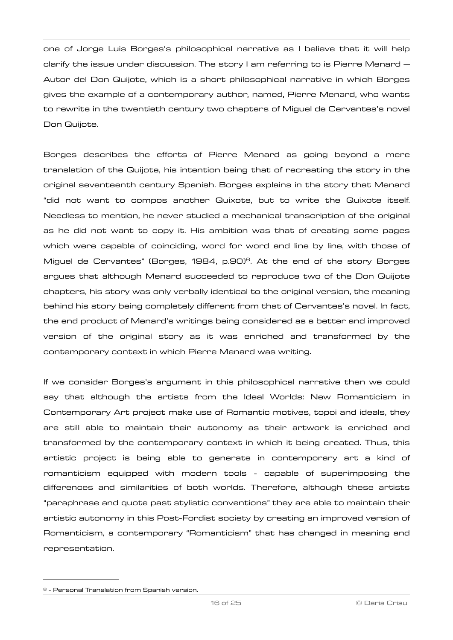one of Jorge Luis Borges's philosophical narrative as I believe that it will help clarify the issue under discussion. The story I am referring to is Pierre Menard  $-$ Autor del Don Quijote, which is a short philosophical narrative in which Borges gives the example of a contemporary author, named, Pierre Menard, who wants to rewrite in the twentieth century two chapters of Miguel de Cervantes's novel Don Quijote.

<span id="page-15-1"></span>Borges describes the efforts of Pierre Menard as going beyond a mere translation of the Quijote, his intention being that of recreating the story in the original seventeenth century Spanish. Borges explains in the story that Menard "did not want to compos another Quixote, but to write the Quixote itself. Needless to mention, he never studied a mechanical transcription of the original as he did not want to copy it. His ambition was that of creating some pages which were capable of coinciding, word for word and line by line, with those of Miguel de Cervantes" (Borges, 19[8](#page-15-0)4, p.90)<sup>8</sup>. At the end of the story Borges argues that although Menard succeeded to reproduce two of the Don Quijote chapters, his story was only verbally identical to the original version, the meaning behind his story being completely different from that of Cervantes's novel. In fact, the end product of Menard's writings being considered as a better and improved version of the original story as it was enriched and transformed by the contemporary context in which Pierre Menard was writing.

If we consider Borges's argument in this philosophical narrative then we could say that although the artists from the Ideal Worlds: New Romanticism in Contemporary Art project make use of Romantic motives, topoi and ideals, they are still able to maintain their autonomy as their artwork is enriched and transformed by the contemporary context in which it being created. Thus, this artistic project is being able to generate in contemporary art a kind of romanticism equipped with modern tools - capable of superimposing the differences and similarities of both worlds. Therefore, although these artists "paraphrase and quote past stylistic conventions" they are able to maintain their artistic autonomy in this Post-Fordist society by creating an improved version of Romanticism, a contemporary "Romanticism" that has changed in meaning and representation.

<span id="page-15-0"></span>[<sup>8</sup>](#page-15-1) - Personal Translation from Spanish version.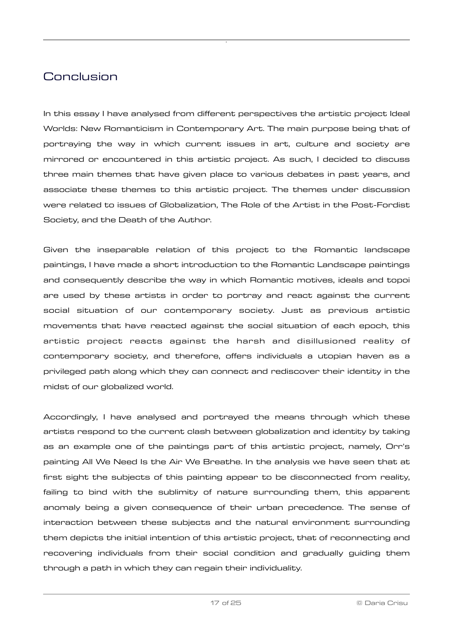### <span id="page-16-0"></span>Conclusion

In this essay I have analysed from different perspectives the artistic project Ideal Worlds: New Romanticism in Contemporary Art. The main purpose being that of portraying the way in which current issues in art, culture and society are mirrored or encountered in this artistic project. As such, I decided to discuss three main themes that have given place to various debates in past years, and associate these themes to this artistic project. The themes under discussion were related to issues of Globalization, The Role of the Artist in the Post-Fordist Society, and the Death of the Author.

Given the inseparable relation of this project to the Romantic landscape paintings, I have made a short introduction to the Romantic Landscape paintings and consequently describe the way in which Romantic motives, ideals and topoi are used by these artists in order to portray and react against the current social situation of our contemporary society. Just as previous artistic movements that have reacted against the social situation of each epoch, this artistic project reacts against the harsh and disillusioned reality of contemporary society, and therefore, offers individuals a utopian haven as a privileged path along which they can connect and rediscover their identity in the midst of our globalized world.

Accordingly, I have analysed and portrayed the means through which these artists respond to the current clash between globalization and identity by taking as an example one of the paintings part of this artistic project, namely, Orr's painting All We Need Is the Air We Breathe. In the analysis we have seen that at first sight the subjects of this painting appear to be disconnected from reality, failing to bind with the sublimity of nature surrounding them, this apparent anomaly being a given consequence of their urban precedence. The sense of interaction between these subjects and the natural environment surrounding them depicts the initial intention of this artistic project, that of reconnecting and recovering individuals from their social condition and gradually guiding them through a path in which they can regain their individuality.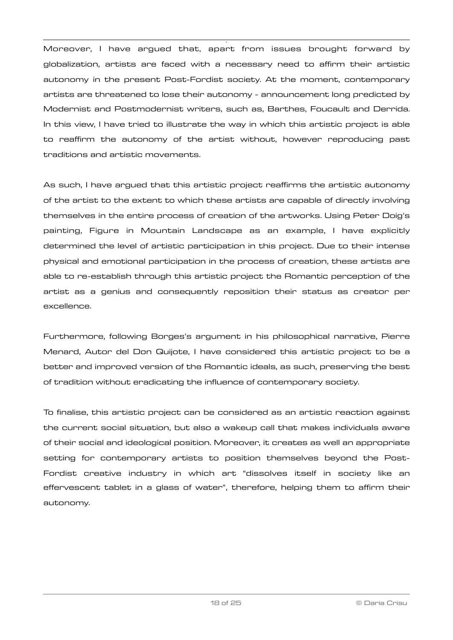Moreover, I have argued that, apart from issues brought forward by globalization, artists are faced with a necessary need to affirm their artistic autonomy in the present Post-Fordist society. At the moment, contemporary artists are threatened to lose their autonomy - announcement long predicted by Modernist and Postmodernist writers, such as, Barthes, Foucault and Derrida. In this view, I have tried to illustrate the way in which this artistic project is able to reaffirm the autonomy of the artist without, however reproducing past traditions and artistic movements.

As such, I have argued that this artistic project reaffirms the artistic autonomy of the artist to the extent to which these artists are capable of directly involving themselves in the entire process of creation of the artworks. Using Peter Doig's painting, Figure in Mountain Landscape as an example, I have explicitly determined the level of artistic participation in this project. Due to their intense physical and emotional participation in the process of creation, these artists are able to re-establish through this artistic project the Romantic perception of the artist as a genius and consequently reposition their status as creator per excellence.

Furthermore, following Borges's argument in his philosophical narrative, Pierre Menard, Autor del Don Quijote, I have considered this artistic project to be a better and improved version of the Romantic ideals, as such, preserving the best of tradition without eradicating the influence of contemporary society.

To finalise, this artistic project can be considered as an artistic reaction against the current social situation, but also a wakeup call that makes individuals aware of their social and ideological position. Moreover, it creates as well an appropriate setting for contemporary artists to position themselves beyond the Post-Fordist creative industry in which art "dissolves itself in society like an effervescent tablet in a glass of water", therefore, helping them to affirm their autonomy.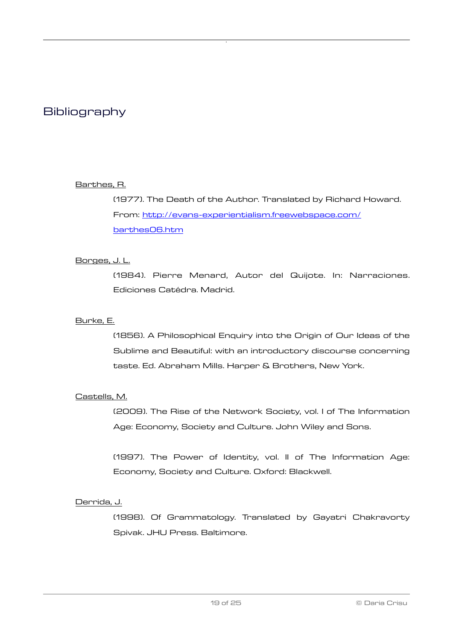### <span id="page-18-0"></span>**Bibliography**

#### Barthes, R.

(1977). The Death of the Author. Translated by Richard Howard. From: [http://evans-experientialism.freewebspace.com/](http://evans-experientialism.freewebspace.com/barthes06.htm) [barthes06.htm](http://evans-experientialism.freewebspace.com/barthes06.htm)

#### Borges, J. L.

(1984). Pierre Menard, Autor del Quijote. In: Narraciones. Ediciones Catédra. Madrid.

#### Burke, E.

(1856). A Philosophical Enquiry into the Origin of Our Ideas of the Sublime and Beautiful: with an introductory discourse concerning taste. Ed. Abraham Mills. Harper & Brothers, New York.

#### Castells, M.

(2009). The Rise of the Network Society, vol. I of The Information Age: Economy, Society and Culture. John Wiley and Sons.

(1997). The Power of Identity, vol. II of The Information Age: Economy, Society and Culture. Oxford: Blackwell.

#### Derrida, J.

(1998). Of Grammatology. Translated by Gayatri Chakravorty Spivak. JHU Press. Baltimore.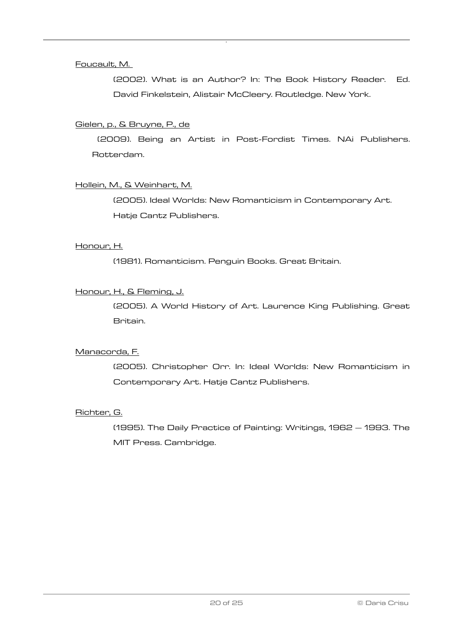#### Foucault, M.

(2002). What is an Author? In: The Book History Reader. Ed. David Finkelstein, Alistair McCleery. Routledge. New York.

#### Gielen, p., & Bruyne, P., de

 (2009). Being an Artist in Post-Fordist Times. NAi Publishers. Rotterdam.

#### Hollein, M., & Weinhart, M.

(2005). Ideal Worlds: New Romanticism in Contemporary Art. Hatje Cantz Publishers.

#### Honour, H.

(1981). Romanticism. Penguin Books. Great Britain.

#### Honour, H., & Fleming, J.

(2005). A World History of Art. Laurence King Publishing. Great Britain.

#### Manacorda, F.

(2005). Christopher Orr. In: Ideal Worlds: New Romanticism in Contemporary Art. Hatje Cantz Publishers.

#### Richter, G.

(1995). The Daily Practice of Painting: Writings, 1962 – 1993. The MIT Press. Cambridge.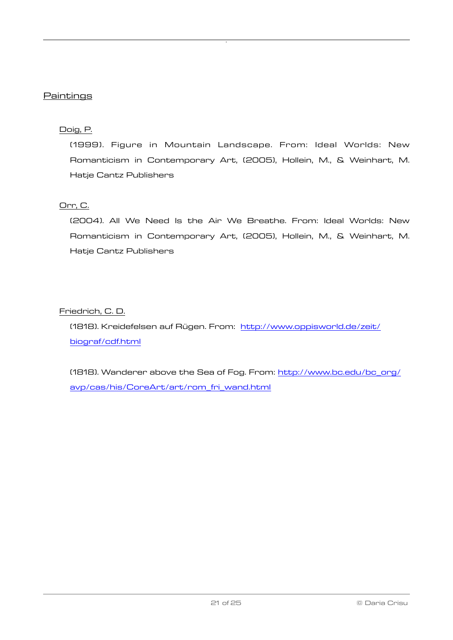#### **Paintings**

#### Doig, P.

(1999). Figure in Mountain Landscape. From: Ideal Worlds: New Romanticism in Contemporary Art, (2005), Hollein, M., & Weinhart, M. Hatje Cantz Publishers

#### Orr, C.

(2004). All We Need Is the Air We Breathe. From: Ideal Worlds: New Romanticism in Contemporary Art, (2005), Hollein, M., & Weinhart, M. Hatje Cantz Publishers

#### Friedrich, C. D.

(1818). Kreidefelsen auf Rügen. From: [http://www.oppisworld.de/zeit/](http://www.oppisworld.de/zeit/biograf/cdf.html) [biograf/cdf.html](http://www.oppisworld.de/zeit/biograf/cdf.html)

(1818). Wanderer above the Sea of Fog. From: [http://www.bc.edu/bc\\_org/](http://www.bc.edu/bc_org/avp/cas/his/CoreArt/art/rom_fri_wand.html) [avp/cas/his/CoreArt/art/rom\\_fri\\_wand.html](http://www.bc.edu/bc_org/avp/cas/his/CoreArt/art/rom_fri_wand.html)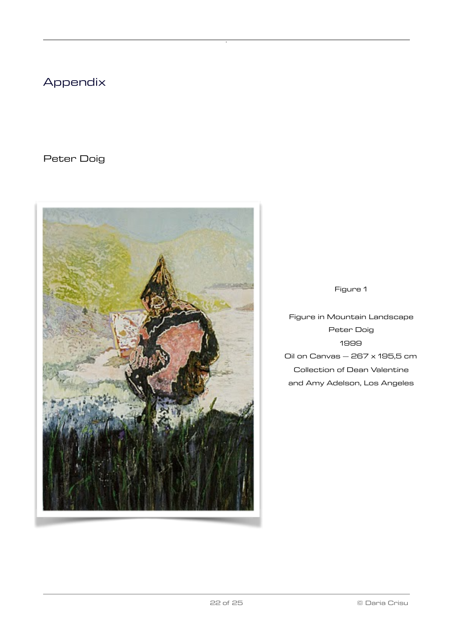### <span id="page-21-0"></span>Appendix

Peter Doig



Figure 1

Figure in Mountain Landscape Peter Doig 1999 Oil on Canvas  $-$  267  $\times$  195,5 cm Collection of Dean Valentine and Amy Adelson, Los Angeles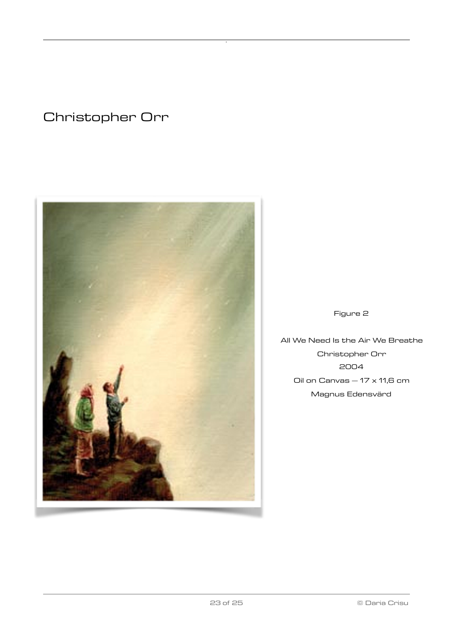### Christopher Orr



#### Figure 2

All We Need Is the Air We Breathe Christopher Orr 2004 Oil on Canvas  $-17 \times 11,6$  cm Magnus Edensvärd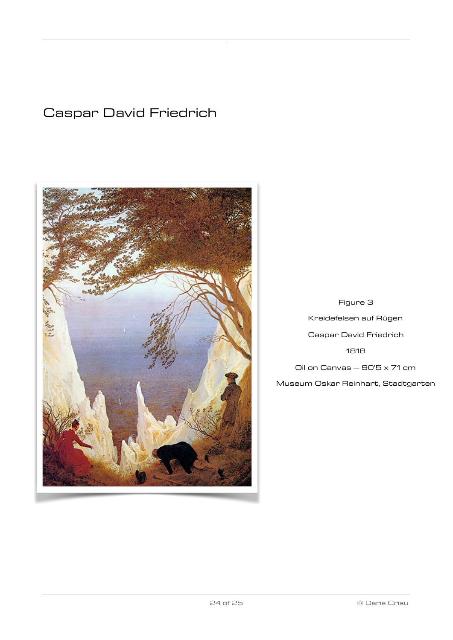### Caspar David Friedrich



Figure 3 Kreidefelsen auf Rügen Caspar David Friedrich 1818 Oil on Canvas  $-$  90'5  $\times$  71 cm Museum Oskar Reinhart, Stadtgarten